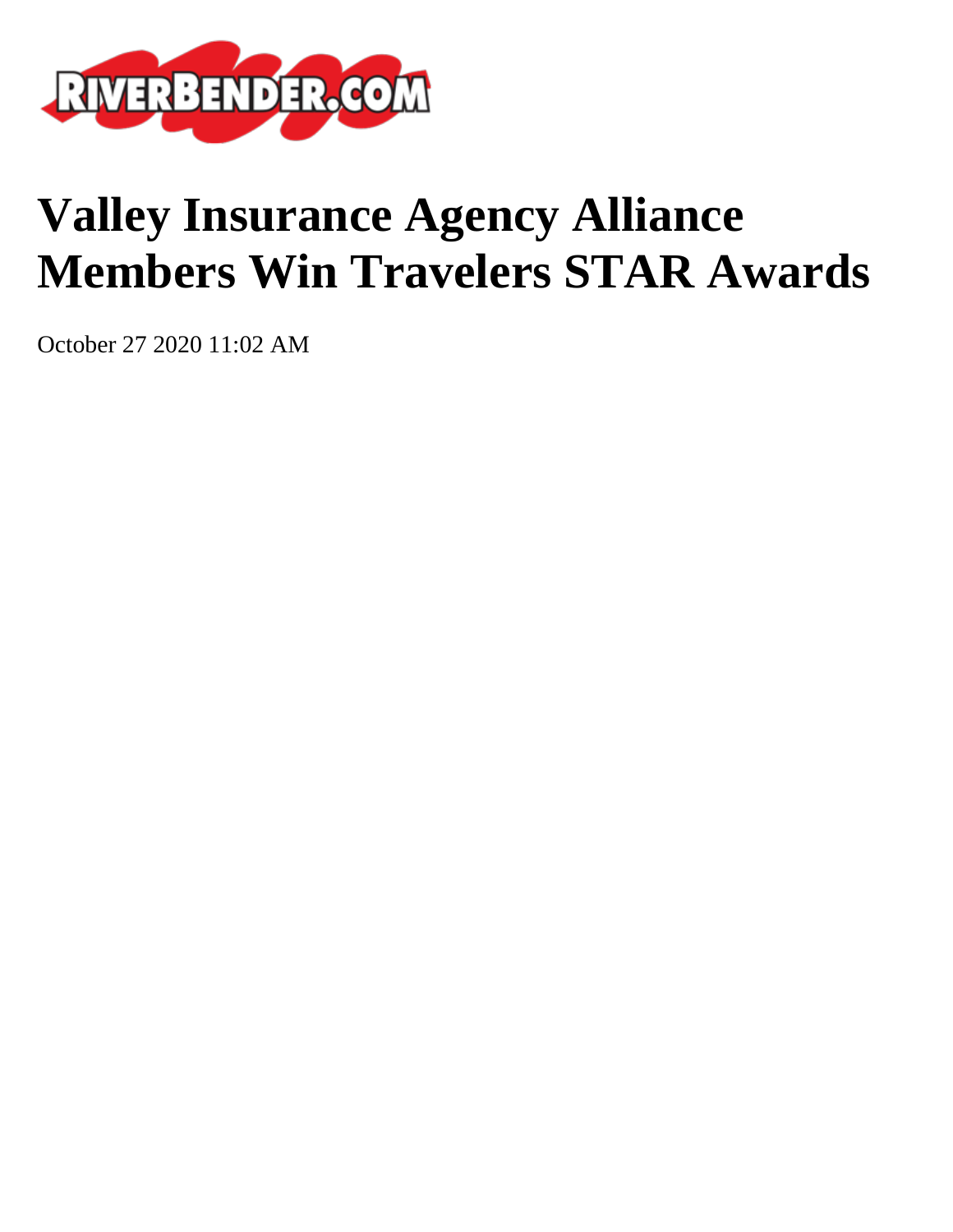

## **Valley Insurance Agency Alliance Members Win Travelers STAR Awards**

October 27 2020 11:02 AM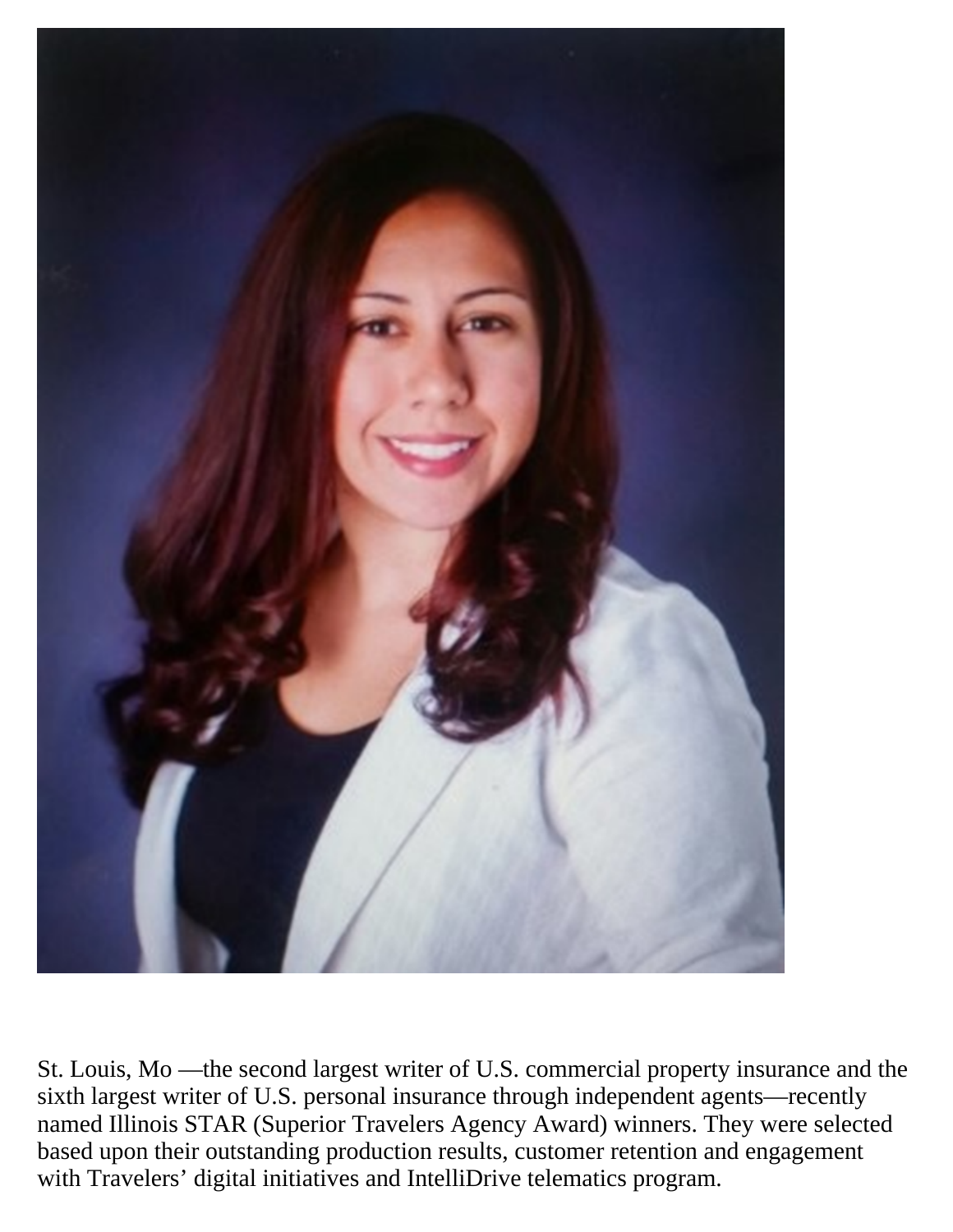

St. Louis, Mo —the second largest writer of U.S. commercial property insurance and the sixth largest writer of U.S. personal insurance through independent agents—recently named Illinois STAR (Superior Travelers Agency Award) winners. They were selected based upon their outstanding production results, customer retention and engagement with Travelers' digital initiatives and IntelliDrive telematics program.